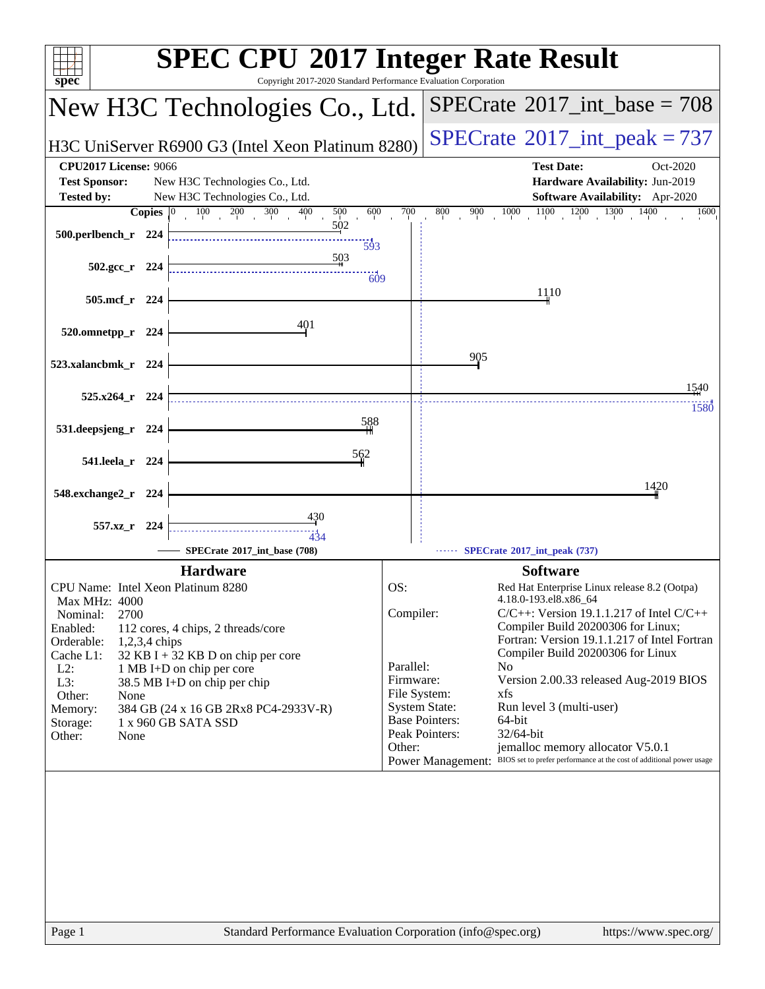| spec <sup>®</sup>                         | <b>SPEC CPU®2017 Integer Rate Result</b><br>Copyright 2017-2020 Standard Performance Evaluation Corporation |              |                                                                                        |
|-------------------------------------------|-------------------------------------------------------------------------------------------------------------|--------------|----------------------------------------------------------------------------------------|
|                                           | New H3C Technologies Co., Ltd.                                                                              |              | $SPECrate^{\circ}2017\_int\_base = 708$                                                |
|                                           | H3C UniServer R6900 G3 (Intel Xeon Platinum 8280)                                                           |              | $SPECrate^{\circ}2017\_int\_peak = 737$                                                |
| <b>CPU2017 License: 9066</b>              |                                                                                                             |              | <b>Test Date:</b><br>Oct-2020                                                          |
| <b>Test Sponsor:</b><br><b>Tested by:</b> | New H3C Technologies Co., Ltd.<br>New H3C Technologies Co., Ltd.                                            |              | Hardware Availability: Jun-2019<br><b>Software Availability:</b> Apr-2020              |
| <b>Copies</b>                             | $100 \t 200$<br>$\overline{300}$<br>$500 \n $<br>600<br>400                                                 | 700          | $900$ $1000$ $1100$ $1200$ $1300$ $1400$<br>800<br>1600                                |
| 500.perlbench_r 224                       | 502                                                                                                         |              |                                                                                        |
|                                           | 593<br>503                                                                                                  |              |                                                                                        |
| 502.gcc_r 224                             | $-609$                                                                                                      |              |                                                                                        |
|                                           |                                                                                                             |              | 1110                                                                                   |
| 505.mcf_r 224                             |                                                                                                             |              |                                                                                        |
| 520.omnetpp_r 224                         | 401                                                                                                         |              |                                                                                        |
|                                           |                                                                                                             |              |                                                                                        |
| 523.xalancbmk_r 224                       |                                                                                                             |              | 905                                                                                    |
| $525.x264$ r 224                          |                                                                                                             |              | 1540                                                                                   |
|                                           |                                                                                                             |              | 1580                                                                                   |
| 531.deepsjeng_r 224                       | 588                                                                                                         |              |                                                                                        |
|                                           | 562                                                                                                         |              |                                                                                        |
| 541.leela_r 224                           |                                                                                                             |              |                                                                                        |
| 548.exchange2_r 224                       |                                                                                                             |              | 1420                                                                                   |
|                                           |                                                                                                             |              |                                                                                        |
| 557.xz_r 224                              | 430                                                                                                         |              |                                                                                        |
|                                           | 434<br>SPECrate®2017_int_base (708)                                                                         |              | SPECrate*2017_int_peak (737)                                                           |
|                                           | <b>Hardware</b>                                                                                             |              | <b>Software</b>                                                                        |
| CPU Name: Intel Xeon Platinum 8280        |                                                                                                             | OS:          | Red Hat Enterprise Linux release 8.2 (Ootpa)                                           |
| Max MHz: 4000                             |                                                                                                             | Compiler:    | 4.18.0-193.el8.x86 64<br>$C/C++$ : Version 19.1.1.217 of Intel $C/C++$                 |
| 2700<br>Nominal:<br>Enabled:              | 112 cores, 4 chips, 2 threads/core                                                                          |              | Compiler Build 20200306 for Linux;                                                     |
| Orderable:<br>$1,2,3,4$ chips             |                                                                                                             |              | Fortran: Version 19.1.1.217 of Intel Fortran                                           |
| Cache L1:<br>$L2$ :                       | $32$ KB I + 32 KB D on chip per core<br>1 MB I+D on chip per core                                           | Parallel:    | Compiler Build 20200306 for Linux<br>N <sub>0</sub>                                    |
| L3:                                       | 38.5 MB I+D on chip per chip                                                                                | Firmware:    | Version 2.00.33 released Aug-2019 BIOS                                                 |
| Other:<br>None<br>Memory:                 | 384 GB (24 x 16 GB 2Rx8 PC4-2933V-R)                                                                        | File System: | xfs<br><b>System State:</b><br>Run level 3 (multi-user)                                |
| Storage:                                  | 1 x 960 GB SATA SSD                                                                                         |              | <b>Base Pointers:</b><br>64-bit                                                        |
| Other:<br>None                            |                                                                                                             | Other:       | Peak Pointers:<br>32/64-bit<br>jemalloc memory allocator V5.0.1                        |
|                                           |                                                                                                             |              | Power Management: BIOS set to prefer performance at the cost of additional power usage |
|                                           |                                                                                                             |              |                                                                                        |
|                                           |                                                                                                             |              |                                                                                        |
|                                           |                                                                                                             |              |                                                                                        |
|                                           |                                                                                                             |              |                                                                                        |
|                                           |                                                                                                             |              |                                                                                        |
|                                           |                                                                                                             |              |                                                                                        |
|                                           |                                                                                                             |              |                                                                                        |
|                                           |                                                                                                             |              |                                                                                        |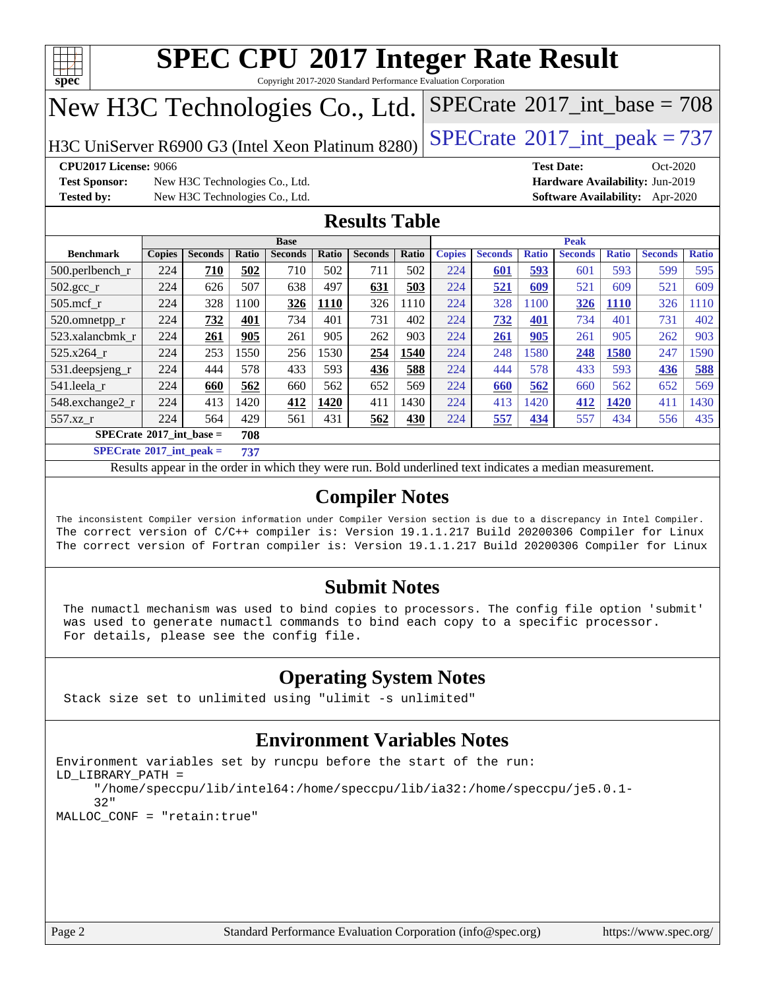

Copyright 2017-2020 Standard Performance Evaluation Corporation

# New H3C Technologies Co., Ltd.

H3C UniServer R6900 G3 (Intel Xeon Platinum 8280)  $\left|$  [SPECrate](http://www.spec.org/auto/cpu2017/Docs/result-fields.html#SPECrate2017intpeak)®[2017\\_int\\_peak = 7](http://www.spec.org/auto/cpu2017/Docs/result-fields.html#SPECrate2017intpeak)37

 $SPECTate$ <sup>®</sup>[2017\\_int\\_base =](http://www.spec.org/auto/cpu2017/Docs/result-fields.html#SPECrate2017intbase) 708

**[CPU2017 License:](http://www.spec.org/auto/cpu2017/Docs/result-fields.html#CPU2017License)** 9066 **[Test Date:](http://www.spec.org/auto/cpu2017/Docs/result-fields.html#TestDate)** Oct-2020

**[Test Sponsor:](http://www.spec.org/auto/cpu2017/Docs/result-fields.html#TestSponsor)** New H3C Technologies Co., Ltd. **[Hardware Availability:](http://www.spec.org/auto/cpu2017/Docs/result-fields.html#HardwareAvailability)** Jun-2019 **[Tested by:](http://www.spec.org/auto/cpu2017/Docs/result-fields.html#Testedby)** New H3C Technologies Co., Ltd. **[Software Availability:](http://www.spec.org/auto/cpu2017/Docs/result-fields.html#SoftwareAvailability)** Apr-2020

### **[Results Table](http://www.spec.org/auto/cpu2017/Docs/result-fields.html#ResultsTable)**

|                                   |               |                |              | <b>Base</b>    |       |                |       |               |                |              | <b>Peak</b>    |              |                |              |
|-----------------------------------|---------------|----------------|--------------|----------------|-------|----------------|-------|---------------|----------------|--------------|----------------|--------------|----------------|--------------|
| <b>Benchmark</b>                  | <b>Copies</b> | <b>Seconds</b> | <b>Ratio</b> | <b>Seconds</b> | Ratio | <b>Seconds</b> | Ratio | <b>Copies</b> | <b>Seconds</b> | <b>Ratio</b> | <b>Seconds</b> | <b>Ratio</b> | <b>Seconds</b> | <b>Ratio</b> |
| $500.$ perlbench_r                | 224           | 710            | 502          | 710            | 502   | 711            | 502   | 224           | 601            | 593          | 601            | 593          | 599            | 595          |
| $502.\text{gcc\_r}$               | 224           | 626            | 507          | 638            | 497   | 631            | 503   | 224           | 521            | 609          | 521            | 609          | 521            | 609          |
| $505$ .mcf r                      | 224           | 328            | 1100         | 326            | 1110  | 326            | 1110  | 224           | 328            | 100          | 326            | <b>1110</b>  | 326            | 1110         |
| 520.omnetpp_r                     | 224           | 732            | 401          | 734            | 401   | 731            | 402   | 224           | 732            | 401          | 734            | 401          | 731            | 402          |
| 523.xalancbmk r                   | 224           | 261            | 905          | 261            | 905   | 262            | 903   | 224           | 261            | 905          | 261            | 905          | 262            | 903          |
| 525.x264 r                        | 224           | 253            | 1550         | 256            | 1530  | 254            | 1540  | 224           | 248            | 1580         | 248            | 1580         | 247            | 1590         |
| 531.deepsjeng_r                   | 224           | 444            | 578          | 433            | 593   | 436            | 588   | 224           | 444            | 578          | 433            | 593          | 436            | 588          |
| 541.leela_r                       | 224           | 660            | 562          | 660            | 562   | 652            | 569   | 224           | 660            | 562          | 660            | 562          | 652            | 569          |
| 548.exchange2_r                   | 224           | 413            | 1420         | 412            | 1420  | 411            | 1430  | 224           | 413            | 1420         | 412            | 1420         | 411            | 1430         |
| 557.xz r                          | 224           | 564            | 429          | 561            | 431   | 562            | 430   | 224           | 557            | 434          | 557            | 434          | 556            | 435          |
| $SPECrate^{\circ}2017$ int base = |               |                | 708          |                |       |                |       |               |                |              |                |              |                |              |
| $C = C$                           |               |                | ---          |                |       |                |       |               |                |              |                |              |                |              |

**[SPECrate](http://www.spec.org/auto/cpu2017/Docs/result-fields.html#SPECrate2017intpeak)[2017\\_int\\_peak =](http://www.spec.org/auto/cpu2017/Docs/result-fields.html#SPECrate2017intpeak) 737**

Results appear in the [order in which they were run](http://www.spec.org/auto/cpu2017/Docs/result-fields.html#RunOrder). Bold underlined text [indicates a median measurement](http://www.spec.org/auto/cpu2017/Docs/result-fields.html#Median).

### **[Compiler Notes](http://www.spec.org/auto/cpu2017/Docs/result-fields.html#CompilerNotes)**

The inconsistent Compiler version information under Compiler Version section is due to a discrepancy in Intel Compiler. The correct version of C/C++ compiler is: Version 19.1.1.217 Build 20200306 Compiler for Linux The correct version of Fortran compiler is: Version 19.1.1.217 Build 20200306 Compiler for Linux

### **[Submit Notes](http://www.spec.org/auto/cpu2017/Docs/result-fields.html#SubmitNotes)**

 The numactl mechanism was used to bind copies to processors. The config file option 'submit' was used to generate numactl commands to bind each copy to a specific processor. For details, please see the config file.

### **[Operating System Notes](http://www.spec.org/auto/cpu2017/Docs/result-fields.html#OperatingSystemNotes)**

Stack size set to unlimited using "ulimit -s unlimited"

### **[Environment Variables Notes](http://www.spec.org/auto/cpu2017/Docs/result-fields.html#EnvironmentVariablesNotes)**

```
Environment variables set by runcpu before the start of the run:
LD_LIBRARY_PATH =
      "/home/speccpu/lib/intel64:/home/speccpu/lib/ia32:/home/speccpu/je5.0.1-
      32"
MALLOC_CONF = "retain:true"
```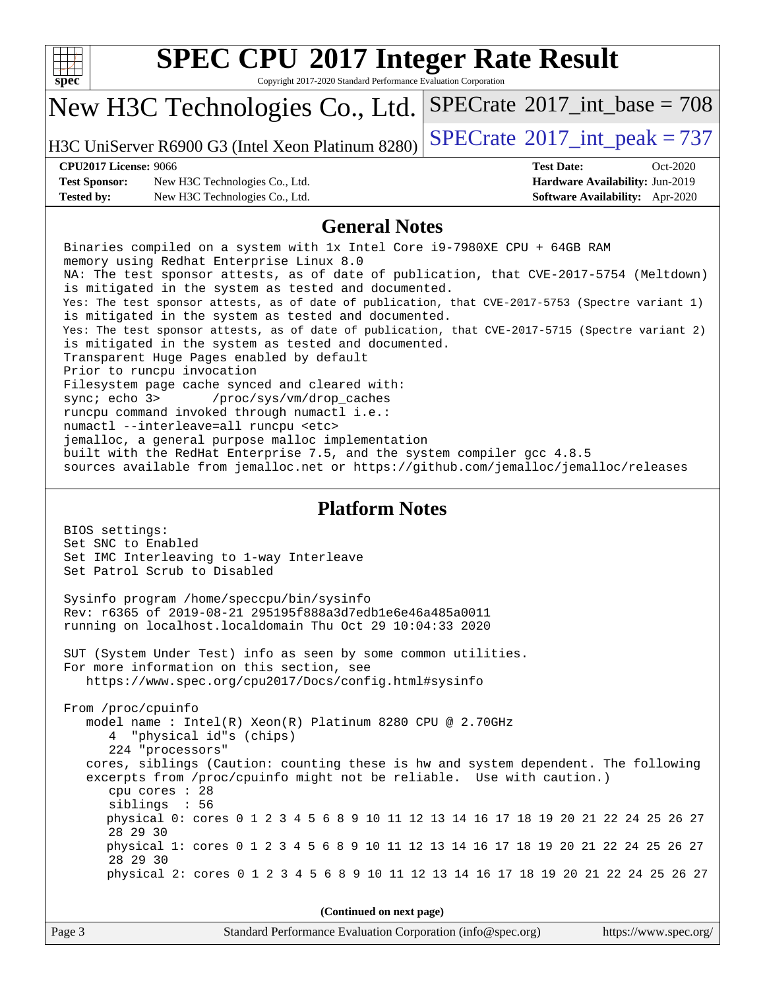| u | ı | t |  |
|---|---|---|--|

Copyright 2017-2020 Standard Performance Evaluation Corporation

# New H3C Technologies Co., Ltd.

H3C UniServer R6900 G3 (Intel Xeon Platinum  $8280$ ) [SPECrate](http://www.spec.org/auto/cpu2017/Docs/result-fields.html#SPECrate2017intpeak)<sup>®</sup>[2017\\_int\\_peak = 7](http://www.spec.org/auto/cpu2017/Docs/result-fields.html#SPECrate2017intpeak)37

 $SPECTate$ <sup>®</sup>[2017\\_int\\_base =](http://www.spec.org/auto/cpu2017/Docs/result-fields.html#SPECrate2017intbase) 708

**[Test Sponsor:](http://www.spec.org/auto/cpu2017/Docs/result-fields.html#TestSponsor)** New H3C Technologies Co., Ltd. **[Hardware Availability:](http://www.spec.org/auto/cpu2017/Docs/result-fields.html#HardwareAvailability)** Jun-2019 **[Tested by:](http://www.spec.org/auto/cpu2017/Docs/result-fields.html#Testedby)** New H3C Technologies Co., Ltd. **[Software Availability:](http://www.spec.org/auto/cpu2017/Docs/result-fields.html#SoftwareAvailability)** Apr-2020

**[CPU2017 License:](http://www.spec.org/auto/cpu2017/Docs/result-fields.html#CPU2017License)** 9066 **[Test Date:](http://www.spec.org/auto/cpu2017/Docs/result-fields.html#TestDate)** Oct-2020

#### **[General Notes](http://www.spec.org/auto/cpu2017/Docs/result-fields.html#GeneralNotes)**

 Binaries compiled on a system with 1x Intel Core i9-7980XE CPU + 64GB RAM memory using Redhat Enterprise Linux 8.0 NA: The test sponsor attests, as of date of publication, that CVE-2017-5754 (Meltdown) is mitigated in the system as tested and documented. Yes: The test sponsor attests, as of date of publication, that CVE-2017-5753 (Spectre variant 1) is mitigated in the system as tested and documented. Yes: The test sponsor attests, as of date of publication, that CVE-2017-5715 (Spectre variant 2) is mitigated in the system as tested and documented. Transparent Huge Pages enabled by default Prior to runcpu invocation Filesystem page cache synced and cleared with: sync; echo 3> /proc/sys/vm/drop\_caches runcpu command invoked through numactl i.e.: numactl --interleave=all runcpu <etc> jemalloc, a general purpose malloc implementation built with the RedHat Enterprise 7.5, and the system compiler gcc 4.8.5 sources available from jemalloc.net or<https://github.com/jemalloc/jemalloc/releases> **[Platform Notes](http://www.spec.org/auto/cpu2017/Docs/result-fields.html#PlatformNotes)** BIOS settings: Set SNC to Enabled Set IMC Interleaving to 1-way Interleave Set Patrol Scrub to Disabled Sysinfo program /home/speccpu/bin/sysinfo Rev: r6365 of 2019-08-21 295195f888a3d7edb1e6e46a485a0011 running on localhost.localdomain Thu Oct 29 10:04:33 2020 SUT (System Under Test) info as seen by some common utilities. For more information on this section, see <https://www.spec.org/cpu2017/Docs/config.html#sysinfo> From /proc/cpuinfo model name : Intel(R) Xeon(R) Platinum 8280 CPU @ 2.70GHz 4 "physical id"s (chips) 224 "processors" cores, siblings (Caution: counting these is hw and system dependent. The following excerpts from /proc/cpuinfo might not be reliable. Use with caution.) cpu cores : 28 siblings : 56

 physical 0: cores 0 1 2 3 4 5 6 8 9 10 11 12 13 14 16 17 18 19 20 21 22 24 25 26 27 28 29 30 physical 1: cores 0 1 2 3 4 5 6 8 9 10 11 12 13 14 16 17 18 19 20 21 22 24 25 26 27 28 29 30 physical 2: cores 0 1 2 3 4 5 6 8 9 10 11 12 13 14 16 17 18 19 20 21 22 24 25 26 27

**(Continued on next page)**

| Page 3 | Standard Performance Evaluation Corporation (info@spec.org) | https://www.spec.org/ |
|--------|-------------------------------------------------------------|-----------------------|
|--------|-------------------------------------------------------------|-----------------------|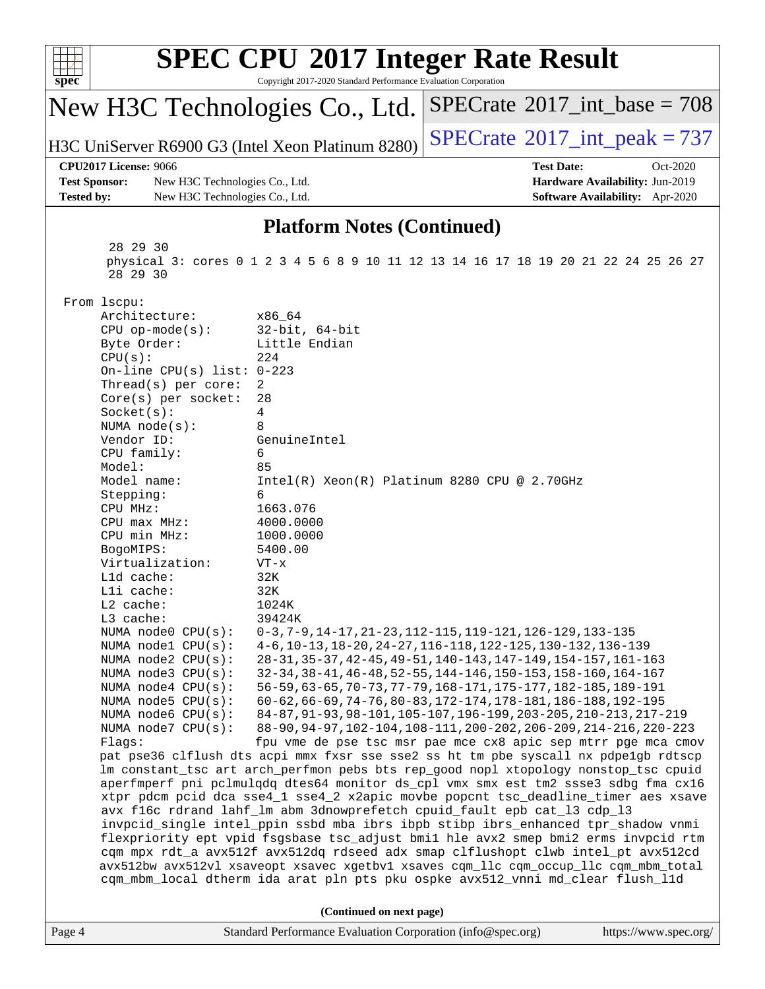| $spec^*$             |                                               | Copyright 2017-2020 Standard Performance Evaluation Corporation | <b>SPEC CPU®2017 Integer Rate Result</b>                                                                                                                               |                                 |
|----------------------|-----------------------------------------------|-----------------------------------------------------------------|------------------------------------------------------------------------------------------------------------------------------------------------------------------------|---------------------------------|
|                      |                                               | New H3C Technologies Co., Ltd.                                  | $SPECrate^{\circ}2017\_int\_base = 708$                                                                                                                                |                                 |
|                      |                                               | H3C UniServer R6900 G3 (Intel Xeon Platinum 8280)               | $SPECrate^{\circ}2017\_int\_peak = 737$                                                                                                                                |                                 |
|                      | <b>CPU2017 License: 9066</b>                  |                                                                 | <b>Test Date:</b>                                                                                                                                                      | Oct-2020                        |
| <b>Test Sponsor:</b> | New H3C Technologies Co., Ltd.                |                                                                 |                                                                                                                                                                        | Hardware Availability: Jun-2019 |
| <b>Tested by:</b>    | New H3C Technologies Co., Ltd.                |                                                                 |                                                                                                                                                                        | Software Availability: Apr-2020 |
|                      |                                               | <b>Platform Notes (Continued)</b>                               |                                                                                                                                                                        |                                 |
|                      | 28 29 30<br>28 29 30                          |                                                                 | physical 3: cores 0 1 2 3 4 5 6 8 9 10 11 12 13 14 16 17 18 19 20 21 22 24 25 26 27                                                                                    |                                 |
|                      | From lscpu:                                   |                                                                 |                                                                                                                                                                        |                                 |
|                      | Architecture:                                 | x86_64                                                          |                                                                                                                                                                        |                                 |
|                      | $CPU$ op-mode( $s$ ):                         | $32$ -bit, $64$ -bit                                            |                                                                                                                                                                        |                                 |
|                      | Byte Order:<br>CPU(s):                        | Little Endian<br>224                                            |                                                                                                                                                                        |                                 |
|                      | On-line CPU(s) list: $0-223$                  |                                                                 |                                                                                                                                                                        |                                 |
|                      | Thread( $s$ ) per core:                       | 2                                                               |                                                                                                                                                                        |                                 |
|                      | Core(s) per socket:<br>Socket(s):             | 28<br>4                                                         |                                                                                                                                                                        |                                 |
|                      | NUMA $node(s):$                               | 8                                                               |                                                                                                                                                                        |                                 |
|                      | Vendor ID:                                    | GenuineIntel                                                    |                                                                                                                                                                        |                                 |
|                      | CPU family:                                   | 6                                                               |                                                                                                                                                                        |                                 |
|                      | Model:<br>Model name:                         | 85<br>$Intel(R) Xeon(R) Platinum 8280 CPU @ 2.70GHz$            |                                                                                                                                                                        |                                 |
|                      | Stepping:                                     | 6                                                               |                                                                                                                                                                        |                                 |
|                      | CPU MHz:                                      | 1663.076                                                        |                                                                                                                                                                        |                                 |
|                      | CPU max MHz:                                  | 4000.0000                                                       |                                                                                                                                                                        |                                 |
|                      | CPU min MHz:<br>BogoMIPS:                     | 1000.0000<br>5400.00                                            |                                                                                                                                                                        |                                 |
|                      | Virtualization:                               | $VT - x$                                                        |                                                                                                                                                                        |                                 |
|                      | L1d cache:                                    | 32K                                                             |                                                                                                                                                                        |                                 |
|                      | Lli cache:                                    | 32K                                                             |                                                                                                                                                                        |                                 |
|                      | L2 cache:<br>L3 cache:                        | 1024K<br>39424K                                                 |                                                                                                                                                                        |                                 |
|                      | NUMA node0 CPU(s):                            |                                                                 | 0-3, 7-9, 14-17, 21-23, 112-115, 119-121, 126-129, 133-135                                                                                                             |                                 |
|                      | NUMA node1 CPU(s):                            |                                                                 | 4-6, 10-13, 18-20, 24-27, 116-118, 122-125, 130-132, 136-139                                                                                                           |                                 |
|                      | NUMA $node2$ $CPU(s)$ :                       |                                                                 | 28-31, 35-37, 42-45, 49-51, 140-143, 147-149, 154-157, 161-163                                                                                                         |                                 |
|                      | NUMA $node3$ $CPU(s)$ :<br>NUMA node4 CPU(s): |                                                                 | 32-34, 38-41, 46-48, 52-55, 144-146, 150-153, 158-160, 164-167<br>56-59, 63-65, 70-73, 77-79, 168-171, 175-177, 182-185, 189-191                                       |                                 |
|                      | NUMA $node5$ $CPU(s):$                        |                                                                 | 60-62, 66-69, 74-76, 80-83, 172-174, 178-181, 186-188, 192-195                                                                                                         |                                 |
|                      | NUMA node6 CPU(s):                            |                                                                 | 84-87, 91-93, 98-101, 105-107, 196-199, 203-205, 210-213, 217-219                                                                                                      |                                 |
|                      | NUMA node7 CPU(s):                            |                                                                 | 88-90, 94-97, 102-104, 108-111, 200-202, 206-209, 214-216, 220-223<br>fpu vme de pse tsc msr pae mce cx8 apic sep mtrr pge mca cmov                                    |                                 |
|                      | Flags:                                        |                                                                 | pat pse36 clflush dts acpi mmx fxsr sse sse2 ss ht tm pbe syscall nx pdpelgb rdtscp                                                                                    |                                 |
|                      |                                               |                                                                 | lm constant_tsc art arch_perfmon pebs bts rep_good nopl xtopology nonstop_tsc cpuid                                                                                    |                                 |
|                      |                                               |                                                                 | aperfmperf pni pclmulqdq dtes64 monitor ds_cpl vmx smx est tm2 ssse3 sdbg fma cx16                                                                                     |                                 |
|                      |                                               |                                                                 | xtpr pdcm pcid dca sse4_1 sse4_2 x2apic movbe popcnt tsc_deadline_timer aes xsave<br>avx f16c rdrand lahf_lm abm 3dnowprefetch cpuid_fault epb cat_13 cdp_13           |                                 |
|                      |                                               |                                                                 | invpcid_single intel_ppin ssbd mba ibrs ibpb stibp ibrs_enhanced tpr_shadow vnmi                                                                                       |                                 |
|                      |                                               |                                                                 | flexpriority ept vpid fsgsbase tsc_adjust bmil hle avx2 smep bmi2 erms invpcid rtm<br>cqm mpx rdt_a avx512f avx512dq rdseed adx smap clflushopt clwb intel_pt avx512cd |                                 |
|                      |                                               |                                                                 | avx512bw avx512vl xsaveopt xsavec xgetbvl xsaves cqm_llc cqm_occup_llc cqm_mbm_total<br>cqm_mbm_local dtherm ida arat pln pts pku ospke avx512_vnni md_clear flush_l1d |                                 |
|                      |                                               |                                                                 |                                                                                                                                                                        |                                 |
|                      |                                               | (Continued on next page)                                        |                                                                                                                                                                        |                                 |
| Page 4               |                                               | Standard Performance Evaluation Corporation (info@spec.org)     |                                                                                                                                                                        | https://www.spec.org/           |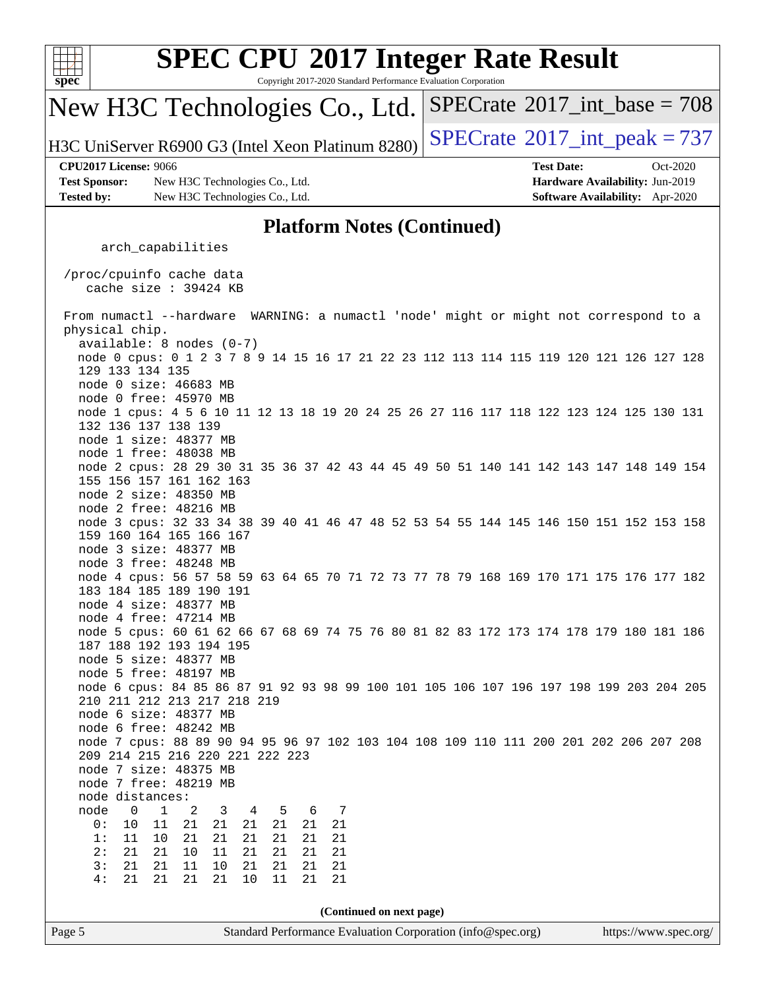

Copyright 2017-2020 Standard Performance Evaluation Corporation

# New H3C Technologies Co., Ltd.

H3C UniServer R6900 G3 (Intel Xeon Platinum  $8280$ ) [SPECrate](http://www.spec.org/auto/cpu2017/Docs/result-fields.html#SPECrate2017intpeak)<sup>®</sup>[2017\\_int\\_peak = 7](http://www.spec.org/auto/cpu2017/Docs/result-fields.html#SPECrate2017intpeak)37

 $SPECTate$ <sup>®</sup>[2017\\_int\\_base =](http://www.spec.org/auto/cpu2017/Docs/result-fields.html#SPECrate2017intbase) 708

**[Test Sponsor:](http://www.spec.org/auto/cpu2017/Docs/result-fields.html#TestSponsor)** New H3C Technologies Co., Ltd. **[Hardware Availability:](http://www.spec.org/auto/cpu2017/Docs/result-fields.html#HardwareAvailability)** Jun-2019

**[CPU2017 License:](http://www.spec.org/auto/cpu2017/Docs/result-fields.html#CPU2017License)** 9066 **[Test Date:](http://www.spec.org/auto/cpu2017/Docs/result-fields.html#TestDate)** Oct-2020 **[Tested by:](http://www.spec.org/auto/cpu2017/Docs/result-fields.html#Testedby)** New H3C Technologies Co., Ltd. **[Software Availability:](http://www.spec.org/auto/cpu2017/Docs/result-fields.html#SoftwareAvailability)** Apr-2020

### **[Platform Notes \(Continued\)](http://www.spec.org/auto/cpu2017/Docs/result-fields.html#PlatformNotes)**

arch\_capabilities

 /proc/cpuinfo cache data cache size : 39424 KB

 From numactl --hardware WARNING: a numactl 'node' might or might not correspond to a physical chip. available: 8 nodes (0-7) node 0 cpus: 0 1 2 3 7 8 9 14 15 16 17 21 22 23 112 113 114 115 119 120 121 126 127 128 129 133 134 135 node 0 size: 46683 MB node 0 free: 45970 MB node 1 cpus: 4 5 6 10 11 12 13 18 19 20 24 25 26 27 116 117 118 122 123 124 125 130 131 132 136 137 138 139 node 1 size: 48377 MB node 1 free: 48038 MB node 2 cpus: 28 29 30 31 35 36 37 42 43 44 45 49 50 51 140 141 142 143 147 148 149 154 155 156 157 161 162 163 node 2 size: 48350 MB node 2 free: 48216 MB node 3 cpus: 32 33 34 38 39 40 41 46 47 48 52 53 54 55 144 145 146 150 151 152 153 158 159 160 164 165 166 167 node 3 size: 48377 MB node 3 free: 48248 MB node 4 cpus: 56 57 58 59 63 64 65 70 71 72 73 77 78 79 168 169 170 171 175 176 177 182 183 184 185 189 190 191 node 4 size: 48377 MB node 4 free: 47214 MB node 5 cpus: 60 61 62 66 67 68 69 74 75 76 80 81 82 83 172 173 174 178 179 180 181 186 187 188 192 193 194 195 node 5 size: 48377 MB node 5 free: 48197 MB node 6 cpus: 84 85 86 87 91 92 93 98 99 100 101 105 106 107 196 197 198 199 203 204 205 210 211 212 213 217 218 219 node 6 size: 48377 MB node 6 free: 48242 MB node 7 cpus: 88 89 90 94 95 96 97 102 103 104 108 109 110 111 200 201 202 206 207 208 209 214 215 216 220 221 222 223 node 7 size: 48375 MB node 7 free: 48219 MB node distances: node 0 1 2 3 4 5 6 7 0: 10 11 21 21 21 21 21 21 1: 11 10 21 21 21 21 21 21 2: 21 21 10 11 21 21 21 21 3: 21 21 11 10 21 21 21 21 4: 21 21 21 21 10 11 21 21 **(Continued on next page)**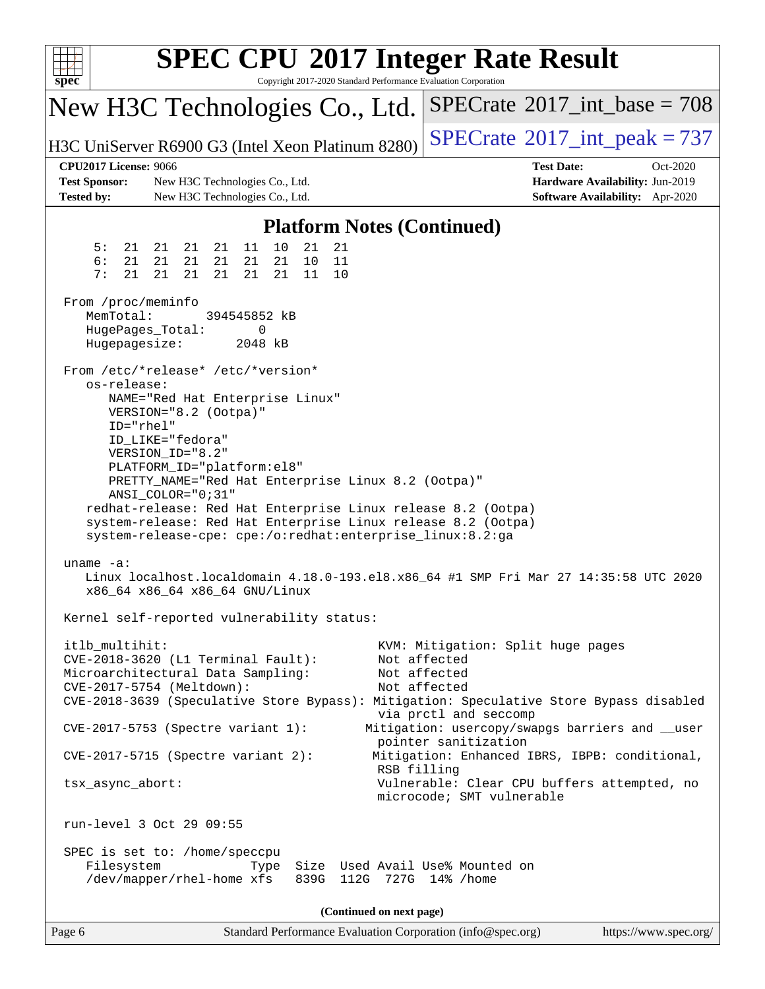| $spec^*$                                                                  | <b>SPEC CPU®2017 Integer Rate Result</b><br>Copyright 2017-2020 Standard Performance Evaluation Corporation                                                                                                                                     |                                                                                                                                                                                                                                                                                                                                                                                  |
|---------------------------------------------------------------------------|-------------------------------------------------------------------------------------------------------------------------------------------------------------------------------------------------------------------------------------------------|----------------------------------------------------------------------------------------------------------------------------------------------------------------------------------------------------------------------------------------------------------------------------------------------------------------------------------------------------------------------------------|
|                                                                           | New H3C Technologies Co., Ltd.                                                                                                                                                                                                                  | $SPECrate^{\circ}2017\_int\_base = 708$                                                                                                                                                                                                                                                                                                                                          |
|                                                                           | H3C UniServer R6900 G3 (Intel Xeon Platinum 8280)                                                                                                                                                                                               | $SPECTate$ <sup>®</sup> 2017_int_peak = 737                                                                                                                                                                                                                                                                                                                                      |
| <b>CPU2017 License: 9066</b><br><b>Test Sponsor:</b><br><b>Tested by:</b> | New H3C Technologies Co., Ltd.<br>New H3C Technologies Co., Ltd.                                                                                                                                                                                | <b>Test Date:</b><br>Oct-2020<br>Hardware Availability: Jun-2019<br><b>Software Availability:</b> Apr-2020                                                                                                                                                                                                                                                                       |
|                                                                           | <b>Platform Notes (Continued)</b>                                                                                                                                                                                                               |                                                                                                                                                                                                                                                                                                                                                                                  |
| 5:<br>6:<br>21<br>7:<br>21                                                | 11<br>10<br>21<br>21   21<br>21<br>21<br>21<br>21<br>21<br>21<br>21<br>10<br>11<br>21<br>21<br>21<br>21<br>21<br>21<br>11<br>10                                                                                                                 |                                                                                                                                                                                                                                                                                                                                                                                  |
| From /proc/meminfo<br>MemTotal:<br>HugePages_Total:<br>Hugepagesize:      | 394545852 kB<br>0<br>2048 kB                                                                                                                                                                                                                    |                                                                                                                                                                                                                                                                                                                                                                                  |
| os-release:<br>ID="rhel"                                                  | From /etc/*release* /etc/*version*<br>NAME="Red Hat Enterprise Linux"<br>VERSION="8.2 (Ootpa)"<br>ID_LIKE="fedora"<br>VERSION_ID="8.2"<br>PLATFORM_ID="platform:el8"<br>PRETTY_NAME="Red Hat Enterprise Linux 8.2 (Ootpa)"<br>ANSI_COLOR="0;31" |                                                                                                                                                                                                                                                                                                                                                                                  |
| uname $-a$ :                                                              | redhat-release: Red Hat Enterprise Linux release 8.2 (Ootpa)<br>system-release: Red Hat Enterprise Linux release 8.2 (Ootpa)<br>system-release-cpe: cpe:/o:redhat:enterprise_linux:8.2:ga<br>x86_64 x86_64 x86_64 GNU/Linux                     | Linux localhost.localdomain 4.18.0-193.el8.x86_64 #1 SMP Fri Mar 27 14:35:58 UTC 2020                                                                                                                                                                                                                                                                                            |
|                                                                           | Kernel self-reported vulnerability status:                                                                                                                                                                                                      |                                                                                                                                                                                                                                                                                                                                                                                  |
| itlb multihit:<br>tsx_async_abort:                                        | CVE-2018-3620 (L1 Terminal Fault):<br>Microarchitectural Data Sampling:<br>CVE-2017-5754 (Meltdown):<br>CVE-2017-5753 (Spectre variant 1):<br>$CVE-2017-5715$ (Spectre variant 2):<br>RSB filling                                               | KVM: Mitigation: Split huge pages<br>Not affected<br>Not affected<br>Not affected<br>CVE-2018-3639 (Speculative Store Bypass): Mitigation: Speculative Store Bypass disabled<br>via prctl and seccomp<br>Mitigation: usercopy/swapgs barriers and __user<br>pointer sanitization<br>Mitigation: Enhanced IBRS, IBPB: conditional,<br>Vulnerable: Clear CPU buffers attempted, no |
|                                                                           |                                                                                                                                                                                                                                                 | microcode; SMT vulnerable                                                                                                                                                                                                                                                                                                                                                        |
| Filesystem                                                                | run-level 3 Oct 29 09:55<br>SPEC is set to: /home/speccpu<br>Size Used Avail Use% Mounted on<br>Type<br>/dev/mapper/rhel-home xfs<br>839G 112G 727G 14% / home                                                                                  |                                                                                                                                                                                                                                                                                                                                                                                  |
|                                                                           | (Continued on next page)                                                                                                                                                                                                                        |                                                                                                                                                                                                                                                                                                                                                                                  |
| Page 6                                                                    | Standard Performance Evaluation Corporation (info@spec.org)                                                                                                                                                                                     | https://www.spec.org/                                                                                                                                                                                                                                                                                                                                                            |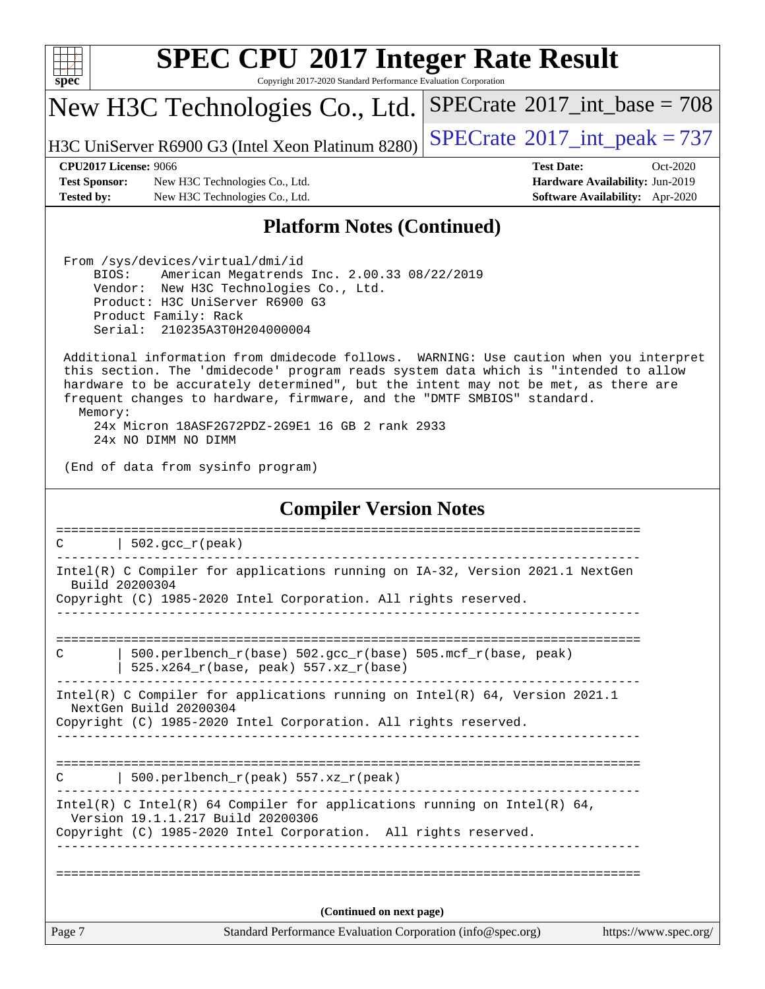

Copyright 2017-2020 Standard Performance Evaluation Corporation

## New H3C Technologies Co., Ltd.

H3C UniServer R6900 G3 (Intel Xeon Platinum 8280)  $\left|$  [SPECrate](http://www.spec.org/auto/cpu2017/Docs/result-fields.html#SPECrate2017intpeak)®[2017\\_int\\_peak = 7](http://www.spec.org/auto/cpu2017/Docs/result-fields.html#SPECrate2017intpeak)37

 $SPECTate@2017_int\_base = 708$ 

**[Test Sponsor:](http://www.spec.org/auto/cpu2017/Docs/result-fields.html#TestSponsor)** New H3C Technologies Co., Ltd. **[Hardware Availability:](http://www.spec.org/auto/cpu2017/Docs/result-fields.html#HardwareAvailability)** Jun-2019 **[Tested by:](http://www.spec.org/auto/cpu2017/Docs/result-fields.html#Testedby)** New H3C Technologies Co., Ltd. **[Software Availability:](http://www.spec.org/auto/cpu2017/Docs/result-fields.html#SoftwareAvailability)** Apr-2020

**[CPU2017 License:](http://www.spec.org/auto/cpu2017/Docs/result-fields.html#CPU2017License)** 9066 **[Test Date:](http://www.spec.org/auto/cpu2017/Docs/result-fields.html#TestDate)** Oct-2020

### **[Platform Notes \(Continued\)](http://www.spec.org/auto/cpu2017/Docs/result-fields.html#PlatformNotes)**

From /sys/devices/virtual/dmi/id

 BIOS: American Megatrends Inc. 2.00.33 08/22/2019 Vendor: New H3C Technologies Co., Ltd. Product: H3C UniServer R6900 G3 Product Family: Rack Serial: 210235A3T0H204000004

 Additional information from dmidecode follows. WARNING: Use caution when you interpret this section. The 'dmidecode' program reads system data which is "intended to allow hardware to be accurately determined", but the intent may not be met, as there are frequent changes to hardware, firmware, and the "DMTF SMBIOS" standard.

 Memory: 24x Micron 18ASF2G72PDZ-2G9E1 16 GB 2 rank 2933

24x NO DIMM NO DIMM

(End of data from sysinfo program)

#### Page 7 Standard Performance Evaluation Corporation [\(info@spec.org\)](mailto:info@spec.org) <https://www.spec.org/> **[Compiler Version Notes](http://www.spec.org/auto/cpu2017/Docs/result-fields.html#CompilerVersionNotes)** ==============================================================================  $C \qquad \qquad \vert$  502.gcc  $r(\text{peak})$ ------------------------------------------------------------------------------ Intel(R) C Compiler for applications running on IA-32, Version 2021.1 NextGen Build 20200304 Copyright (C) 1985-2020 Intel Corporation. All rights reserved. ------------------------------------------------------------------------------ ============================================================================== C | 500.perlbench\_r(base) 502.gcc\_r(base) 505.mcf\_r(base, peak) | 525.x264\_r(base, peak) 557.xz\_r(base) ------------------------------------------------------------------------------ Intel(R) C Compiler for applications running on Intel(R) 64, Version 2021.1 NextGen Build 20200304 Copyright (C) 1985-2020 Intel Corporation. All rights reserved. ------------------------------------------------------------------------------ ==============================================================================  $C$  | 500.perlbench\_r(peak) 557.xz r(peak) ------------------------------------------------------------------------------ Intel(R) C Intel(R) 64 Compiler for applications running on Intel(R)  $64$ , Version 19.1.1.217 Build 20200306 Copyright (C) 1985-2020 Intel Corporation. All rights reserved. ------------------------------------------------------------------------------ ============================================================================== **(Continued on next page)**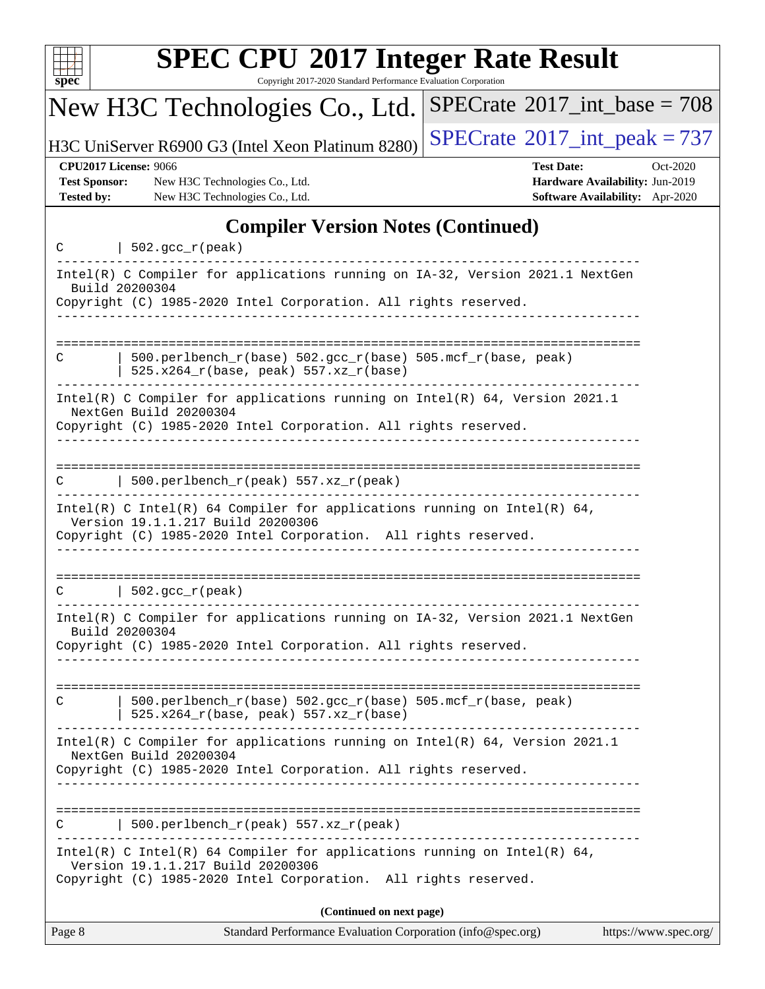| u | ı | t |  |
|---|---|---|--|

Copyright 2017-2020 Standard Performance Evaluation Corporation

# New H3C Technologies Co., Ltd.

H3C UniServer R6900 G3 (Intel Xeon Platinum 8280) [SPECrate](http://www.spec.org/auto/cpu2017/Docs/result-fields.html#SPECrate2017intpeak)<sup>®</sup>[2017\\_int\\_peak = 7](http://www.spec.org/auto/cpu2017/Docs/result-fields.html#SPECrate2017intpeak)37

 $SPECrate$ <sup>®</sup>[2017\\_int\\_base =](http://www.spec.org/auto/cpu2017/Docs/result-fields.html#SPECrate2017intbase) 708

**[Test Sponsor:](http://www.spec.org/auto/cpu2017/Docs/result-fields.html#TestSponsor)** New H3C Technologies Co., Ltd. **[Hardware Availability:](http://www.spec.org/auto/cpu2017/Docs/result-fields.html#HardwareAvailability)** Jun-2019 **[Tested by:](http://www.spec.org/auto/cpu2017/Docs/result-fields.html#Testedby)** New H3C Technologies Co., Ltd. **[Software Availability:](http://www.spec.org/auto/cpu2017/Docs/result-fields.html#SoftwareAvailability)** Apr-2020

**[CPU2017 License:](http://www.spec.org/auto/cpu2017/Docs/result-fields.html#CPU2017License)** 9066 **[Test Date:](http://www.spec.org/auto/cpu2017/Docs/result-fields.html#TestDate)** Oct-2020

## **[Compiler Version Notes \(Continued\)](http://www.spec.org/auto/cpu2017/Docs/result-fields.html#CompilerVersionNotes)**

| C      | $502.$ $\text{gcc\_r}$ (peak)                                                                                                                                                    |
|--------|----------------------------------------------------------------------------------------------------------------------------------------------------------------------------------|
|        | Intel(R) C Compiler for applications running on IA-32, Version 2021.1 NextGen<br>Build 20200304                                                                                  |
|        | Copyright (C) 1985-2020 Intel Corporation. All rights reserved.                                                                                                                  |
|        |                                                                                                                                                                                  |
| С      | 500.perlbench $r(base)$ 502.qcc $r(base)$ 505.mcf $r(base, peak)$<br>$525.x264_r(base, peak) 557.xz_r(base)$                                                                     |
|        | Intel(R) C Compiler for applications running on Intel(R) $64$ , Version 2021.1<br>NextGen Build 20200304<br>Copyright (C) 1985-2020 Intel Corporation. All rights reserved.      |
| C      | $500.perlbench_r(peak) 557. xz_r(peak)$                                                                                                                                          |
|        | Intel(R) C Intel(R) 64 Compiler for applications running on Intel(R) 64,                                                                                                         |
|        | Version 19.1.1.217 Build 20200306<br>Copyright (C) 1985-2020 Intel Corporation. All rights reserved.                                                                             |
|        |                                                                                                                                                                                  |
|        |                                                                                                                                                                                  |
| C      | $\vert$ 502.gcc_r(peak)                                                                                                                                                          |
|        | Intel(R) C Compiler for applications running on IA-32, Version 2021.1 NextGen<br>Build 20200304                                                                                  |
|        | Copyright (C) 1985-2020 Intel Corporation. All rights reserved.                                                                                                                  |
| С      | 500.perlbench_r(base) 502.gcc_r(base) 505.mcf_r(base, peak)<br>$525.x264_r(base, peak) 557.xz_r(base)$                                                                           |
|        | Intel(R) C Compiler for applications running on Intel(R) $64$ , Version 2021.1<br>NextGen Build 20200304<br>Copyright (C) 1985-2020 Intel Corporation. All rights reserved.      |
| C      | 500.perlbench_r(peak) 557.xz_r(peak)                                                                                                                                             |
|        |                                                                                                                                                                                  |
|        | Intel(R) C Intel(R) 64 Compiler for applications running on Intel(R) 64,<br>Version 19.1.1.217 Build 20200306<br>Copyright (C) 1985-2020 Intel Corporation. All rights reserved. |
|        | (Continued on next page)                                                                                                                                                         |
| Page 8 | Standard Performance Evaluation Corporation (info@spec.org)<br>https://www.spec.org/                                                                                             |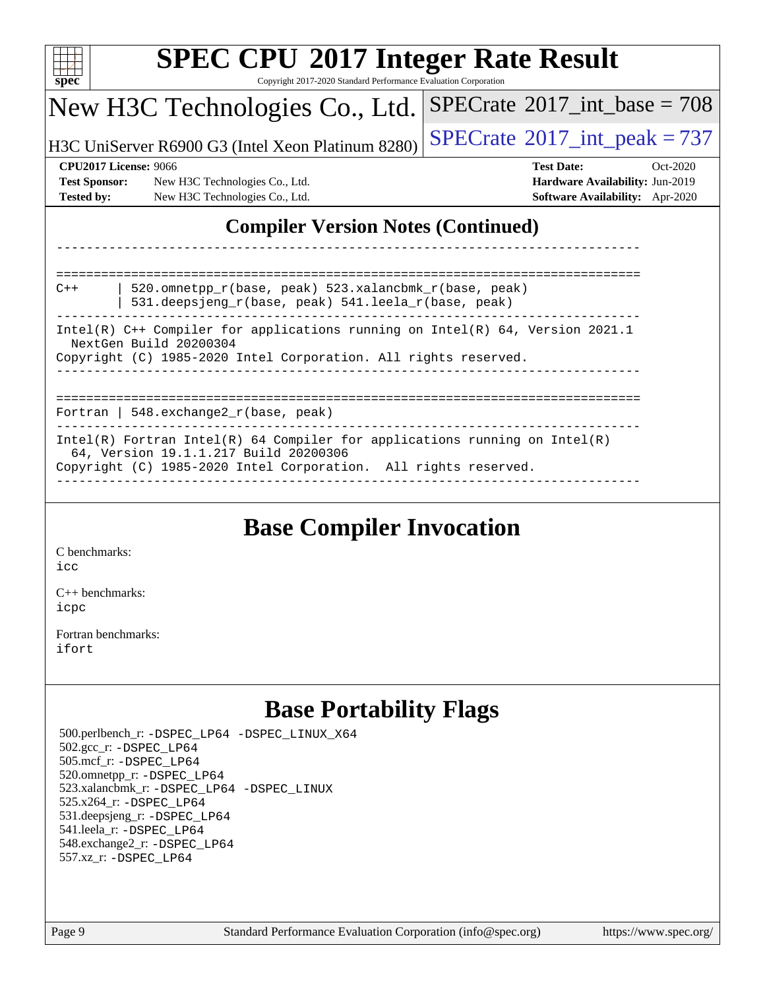| <b>SPEC CPU®2017 Integer Rate Result</b><br>Copyright 2017-2020 Standard Performance Evaluation Corporation<br>spec <sup>®</sup>                                             |                                             |
|------------------------------------------------------------------------------------------------------------------------------------------------------------------------------|---------------------------------------------|
| New H3C Technologies Co., Ltd.                                                                                                                                               | $SPECTate$ <sup>®</sup> 2017_int_base = 708 |
| H3C UniServer R6900 G3 (Intel Xeon Platinum 8280)                                                                                                                            | $SPECrate^{\circ}2017\_int\_peak = 737$     |
| <b>CPU2017 License: 9066</b>                                                                                                                                                 | <b>Test Date:</b><br>$Oct-2020$             |
| <b>Test Sponsor:</b><br>New H3C Technologies Co., Ltd.                                                                                                                       | Hardware Availability: Jun-2019             |
| <b>Tested by:</b><br>New H3C Technologies Co., Ltd.                                                                                                                          | <b>Software Availability:</b> Apr-2020      |
| <b>Compiler Version Notes (Continued)</b>                                                                                                                                    |                                             |
| 520.omnetpp_r(base, peak) 523.xalancbmk_r(base, peak)<br>$C++$<br>531.deepsjeng_r(base, peak) 541.leela_r(base, peak)                                                        |                                             |
| Intel(R) $C++$ Compiler for applications running on Intel(R) 64, Version 2021.1<br>NextGen Build 20200304<br>Copyright (C) 1985-2020 Intel Corporation. All rights reserved. |                                             |
|                                                                                                                                                                              |                                             |

Fortran | 548.exchange2\_r(base, peak)

------------------------------------------------------------------------------ Intel(R) Fortran Intel(R) 64 Compiler for applications running on Intel(R) 64, Version 19.1.1.217 Build 20200306 Copyright (C) 1985-2020 Intel Corporation. All rights reserved. ------------------------------------------------------------------------------

## **[Base Compiler Invocation](http://www.spec.org/auto/cpu2017/Docs/result-fields.html#BaseCompilerInvocation)**

[C benchmarks](http://www.spec.org/auto/cpu2017/Docs/result-fields.html#Cbenchmarks): [icc](http://www.spec.org/cpu2017/results/res2020q4/cpu2017-20201105-24339.flags.html#user_CCbase_intel_icc_66fc1ee009f7361af1fbd72ca7dcefbb700085f36577c54f309893dd4ec40d12360134090235512931783d35fd58c0460139e722d5067c5574d8eaf2b3e37e92)

[C++ benchmarks:](http://www.spec.org/auto/cpu2017/Docs/result-fields.html#CXXbenchmarks) [icpc](http://www.spec.org/cpu2017/results/res2020q4/cpu2017-20201105-24339.flags.html#user_CXXbase_intel_icpc_c510b6838c7f56d33e37e94d029a35b4a7bccf4766a728ee175e80a419847e808290a9b78be685c44ab727ea267ec2f070ec5dc83b407c0218cded6866a35d07)

[Fortran benchmarks](http://www.spec.org/auto/cpu2017/Docs/result-fields.html#Fortranbenchmarks): [ifort](http://www.spec.org/cpu2017/results/res2020q4/cpu2017-20201105-24339.flags.html#user_FCbase_intel_ifort_8111460550e3ca792625aed983ce982f94888b8b503583aa7ba2b8303487b4d8a21a13e7191a45c5fd58ff318f48f9492884d4413fa793fd88dd292cad7027ca)

# **[Base Portability Flags](http://www.spec.org/auto/cpu2017/Docs/result-fields.html#BasePortabilityFlags)**

 500.perlbench\_r: [-DSPEC\\_LP64](http://www.spec.org/cpu2017/results/res2020q4/cpu2017-20201105-24339.flags.html#b500.perlbench_r_basePORTABILITY_DSPEC_LP64) [-DSPEC\\_LINUX\\_X64](http://www.spec.org/cpu2017/results/res2020q4/cpu2017-20201105-24339.flags.html#b500.perlbench_r_baseCPORTABILITY_DSPEC_LINUX_X64) 502.gcc\_r: [-DSPEC\\_LP64](http://www.spec.org/cpu2017/results/res2020q4/cpu2017-20201105-24339.flags.html#suite_basePORTABILITY502_gcc_r_DSPEC_LP64) 505.mcf\_r: [-DSPEC\\_LP64](http://www.spec.org/cpu2017/results/res2020q4/cpu2017-20201105-24339.flags.html#suite_basePORTABILITY505_mcf_r_DSPEC_LP64) 520.omnetpp\_r: [-DSPEC\\_LP64](http://www.spec.org/cpu2017/results/res2020q4/cpu2017-20201105-24339.flags.html#suite_basePORTABILITY520_omnetpp_r_DSPEC_LP64) 523.xalancbmk\_r: [-DSPEC\\_LP64](http://www.spec.org/cpu2017/results/res2020q4/cpu2017-20201105-24339.flags.html#suite_basePORTABILITY523_xalancbmk_r_DSPEC_LP64) [-DSPEC\\_LINUX](http://www.spec.org/cpu2017/results/res2020q4/cpu2017-20201105-24339.flags.html#b523.xalancbmk_r_baseCXXPORTABILITY_DSPEC_LINUX) 525.x264\_r: [-DSPEC\\_LP64](http://www.spec.org/cpu2017/results/res2020q4/cpu2017-20201105-24339.flags.html#suite_basePORTABILITY525_x264_r_DSPEC_LP64) 531.deepsjeng\_r: [-DSPEC\\_LP64](http://www.spec.org/cpu2017/results/res2020q4/cpu2017-20201105-24339.flags.html#suite_basePORTABILITY531_deepsjeng_r_DSPEC_LP64) 541.leela\_r: [-DSPEC\\_LP64](http://www.spec.org/cpu2017/results/res2020q4/cpu2017-20201105-24339.flags.html#suite_basePORTABILITY541_leela_r_DSPEC_LP64) 548.exchange2\_r: [-DSPEC\\_LP64](http://www.spec.org/cpu2017/results/res2020q4/cpu2017-20201105-24339.flags.html#suite_basePORTABILITY548_exchange2_r_DSPEC_LP64) 557.xz\_r: [-DSPEC\\_LP64](http://www.spec.org/cpu2017/results/res2020q4/cpu2017-20201105-24339.flags.html#suite_basePORTABILITY557_xz_r_DSPEC_LP64)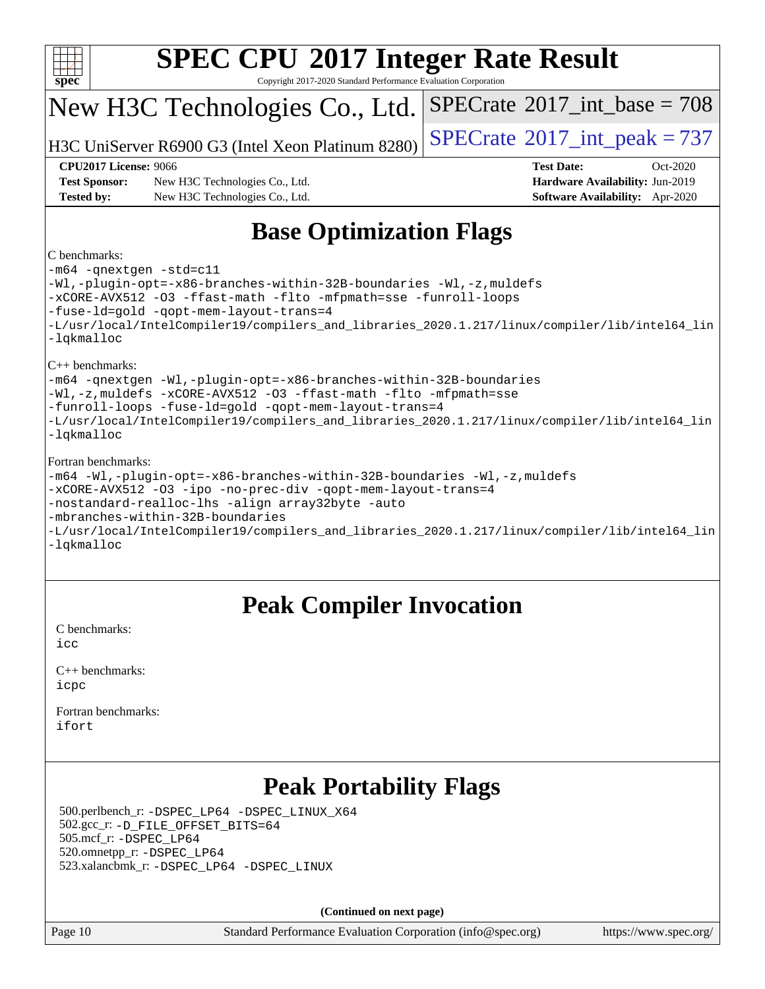

Copyright 2017-2020 Standard Performance Evaluation Corporation

# New H3C Technologies Co., Ltd.

H3C UniServer R6900 G3 (Intel Xeon Platinum  $8280$ ) [SPECrate](http://www.spec.org/auto/cpu2017/Docs/result-fields.html#SPECrate2017intpeak)<sup>®</sup>[2017\\_int\\_peak = 7](http://www.spec.org/auto/cpu2017/Docs/result-fields.html#SPECrate2017intpeak)37

 $SPECTate$ <sup>®</sup>[2017\\_int\\_base =](http://www.spec.org/auto/cpu2017/Docs/result-fields.html#SPECrate2017intbase) 708

**[Test Sponsor:](http://www.spec.org/auto/cpu2017/Docs/result-fields.html#TestSponsor)** New H3C Technologies Co., Ltd. **[Hardware Availability:](http://www.spec.org/auto/cpu2017/Docs/result-fields.html#HardwareAvailability)** Jun-2019 **[Tested by:](http://www.spec.org/auto/cpu2017/Docs/result-fields.html#Testedby)** New H3C Technologies Co., Ltd. **[Software Availability:](http://www.spec.org/auto/cpu2017/Docs/result-fields.html#SoftwareAvailability)** Apr-2020

**[CPU2017 License:](http://www.spec.org/auto/cpu2017/Docs/result-fields.html#CPU2017License)** 9066 **[Test Date:](http://www.spec.org/auto/cpu2017/Docs/result-fields.html#TestDate)** Oct-2020

# **[Base Optimization Flags](http://www.spec.org/auto/cpu2017/Docs/result-fields.html#BaseOptimizationFlags)**

#### [C benchmarks:](http://www.spec.org/auto/cpu2017/Docs/result-fields.html#Cbenchmarks)

[-m64](http://www.spec.org/cpu2017/results/res2020q4/cpu2017-20201105-24339.flags.html#user_CCbase_m64-icc) [-qnextgen](http://www.spec.org/cpu2017/results/res2020q4/cpu2017-20201105-24339.flags.html#user_CCbase_f-qnextgen) [-std=c11](http://www.spec.org/cpu2017/results/res2020q4/cpu2017-20201105-24339.flags.html#user_CCbase_std-icc-std_0e1c27790398a4642dfca32ffe6c27b5796f9c2d2676156f2e42c9c44eaad0c049b1cdb667a270c34d979996257aeb8fc440bfb01818dbc9357bd9d174cb8524) [-Wl,-plugin-opt=-x86-branches-within-32B-boundaries](http://www.spec.org/cpu2017/results/res2020q4/cpu2017-20201105-24339.flags.html#user_CCbase_f-x86-branches-within-32B-boundaries_0098b4e4317ae60947b7b728078a624952a08ac37a3c797dfb4ffeb399e0c61a9dd0f2f44ce917e9361fb9076ccb15e7824594512dd315205382d84209e912f3) [-Wl,-z,muldefs](http://www.spec.org/cpu2017/results/res2020q4/cpu2017-20201105-24339.flags.html#user_CCbase_link_force_multiple1_b4cbdb97b34bdee9ceefcfe54f4c8ea74255f0b02a4b23e853cdb0e18eb4525ac79b5a88067c842dd0ee6996c24547a27a4b99331201badda8798ef8a743f577) [-xCORE-AVX512](http://www.spec.org/cpu2017/results/res2020q4/cpu2017-20201105-24339.flags.html#user_CCbase_f-xCORE-AVX512) [-O3](http://www.spec.org/cpu2017/results/res2020q4/cpu2017-20201105-24339.flags.html#user_CCbase_f-O3) [-ffast-math](http://www.spec.org/cpu2017/results/res2020q4/cpu2017-20201105-24339.flags.html#user_CCbase_f-ffast-math) [-flto](http://www.spec.org/cpu2017/results/res2020q4/cpu2017-20201105-24339.flags.html#user_CCbase_f-flto) [-mfpmath=sse](http://www.spec.org/cpu2017/results/res2020q4/cpu2017-20201105-24339.flags.html#user_CCbase_f-mfpmath_70eb8fac26bde974f8ab713bc9086c5621c0b8d2f6c86f38af0bd7062540daf19db5f3a066d8c6684be05d84c9b6322eb3b5be6619d967835195b93d6c02afa1) [-funroll-loops](http://www.spec.org/cpu2017/results/res2020q4/cpu2017-20201105-24339.flags.html#user_CCbase_f-funroll-loops) [-fuse-ld=gold](http://www.spec.org/cpu2017/results/res2020q4/cpu2017-20201105-24339.flags.html#user_CCbase_f-fuse-ld_920b3586e2b8c6e0748b9c84fa9b744736ba725a32cab14ad8f3d4ad28eecb2f59d1144823d2e17006539a88734fe1fc08fc3035f7676166309105a78aaabc32) [-qopt-mem-layout-trans=4](http://www.spec.org/cpu2017/results/res2020q4/cpu2017-20201105-24339.flags.html#user_CCbase_f-qopt-mem-layout-trans_fa39e755916c150a61361b7846f310bcdf6f04e385ef281cadf3647acec3f0ae266d1a1d22d972a7087a248fd4e6ca390a3634700869573d231a252c784941a8) [-L/usr/local/IntelCompiler19/compilers\\_and\\_libraries\\_2020.1.217/linux/compiler/lib/intel64\\_lin](http://www.spec.org/cpu2017/results/res2020q4/cpu2017-20201105-24339.flags.html#user_CCbase_linkpath_2cb6f503891ebf8baee7515f4e7d4ec1217444d1d05903cc0091ac4158de400651d2b2313a9fa414cb8a8f0e16ab029634f5c6db340f400369c190d4db8a54a0) [-lqkmalloc](http://www.spec.org/cpu2017/results/res2020q4/cpu2017-20201105-24339.flags.html#user_CCbase_qkmalloc_link_lib_79a818439969f771c6bc311cfd333c00fc099dad35c030f5aab9dda831713d2015205805422f83de8875488a2991c0a156aaa600e1f9138f8fc37004abc96dc5) [C++ benchmarks:](http://www.spec.org/auto/cpu2017/Docs/result-fields.html#CXXbenchmarks) [-m64](http://www.spec.org/cpu2017/results/res2020q4/cpu2017-20201105-24339.flags.html#user_CXXbase_m64-icc) [-qnextgen](http://www.spec.org/cpu2017/results/res2020q4/cpu2017-20201105-24339.flags.html#user_CXXbase_f-qnextgen) [-Wl,-plugin-opt=-x86-branches-within-32B-boundaries](http://www.spec.org/cpu2017/results/res2020q4/cpu2017-20201105-24339.flags.html#user_CXXbase_f-x86-branches-within-32B-boundaries_0098b4e4317ae60947b7b728078a624952a08ac37a3c797dfb4ffeb399e0c61a9dd0f2f44ce917e9361fb9076ccb15e7824594512dd315205382d84209e912f3) [-Wl,-z,muldefs](http://www.spec.org/cpu2017/results/res2020q4/cpu2017-20201105-24339.flags.html#user_CXXbase_link_force_multiple1_b4cbdb97b34bdee9ceefcfe54f4c8ea74255f0b02a4b23e853cdb0e18eb4525ac79b5a88067c842dd0ee6996c24547a27a4b99331201badda8798ef8a743f577) [-xCORE-AVX512](http://www.spec.org/cpu2017/results/res2020q4/cpu2017-20201105-24339.flags.html#user_CXXbase_f-xCORE-AVX512) [-O3](http://www.spec.org/cpu2017/results/res2020q4/cpu2017-20201105-24339.flags.html#user_CXXbase_f-O3) [-ffast-math](http://www.spec.org/cpu2017/results/res2020q4/cpu2017-20201105-24339.flags.html#user_CXXbase_f-ffast-math) [-flto](http://www.spec.org/cpu2017/results/res2020q4/cpu2017-20201105-24339.flags.html#user_CXXbase_f-flto) [-mfpmath=sse](http://www.spec.org/cpu2017/results/res2020q4/cpu2017-20201105-24339.flags.html#user_CXXbase_f-mfpmath_70eb8fac26bde974f8ab713bc9086c5621c0b8d2f6c86f38af0bd7062540daf19db5f3a066d8c6684be05d84c9b6322eb3b5be6619d967835195b93d6c02afa1) [-funroll-loops](http://www.spec.org/cpu2017/results/res2020q4/cpu2017-20201105-24339.flags.html#user_CXXbase_f-funroll-loops) [-fuse-ld=gold](http://www.spec.org/cpu2017/results/res2020q4/cpu2017-20201105-24339.flags.html#user_CXXbase_f-fuse-ld_920b3586e2b8c6e0748b9c84fa9b744736ba725a32cab14ad8f3d4ad28eecb2f59d1144823d2e17006539a88734fe1fc08fc3035f7676166309105a78aaabc32) [-qopt-mem-layout-trans=4](http://www.spec.org/cpu2017/results/res2020q4/cpu2017-20201105-24339.flags.html#user_CXXbase_f-qopt-mem-layout-trans_fa39e755916c150a61361b7846f310bcdf6f04e385ef281cadf3647acec3f0ae266d1a1d22d972a7087a248fd4e6ca390a3634700869573d231a252c784941a8) [-L/usr/local/IntelCompiler19/compilers\\_and\\_libraries\\_2020.1.217/linux/compiler/lib/intel64\\_lin](http://www.spec.org/cpu2017/results/res2020q4/cpu2017-20201105-24339.flags.html#user_CXXbase_linkpath_2cb6f503891ebf8baee7515f4e7d4ec1217444d1d05903cc0091ac4158de400651d2b2313a9fa414cb8a8f0e16ab029634f5c6db340f400369c190d4db8a54a0) [-lqkmalloc](http://www.spec.org/cpu2017/results/res2020q4/cpu2017-20201105-24339.flags.html#user_CXXbase_qkmalloc_link_lib_79a818439969f771c6bc311cfd333c00fc099dad35c030f5aab9dda831713d2015205805422f83de8875488a2991c0a156aaa600e1f9138f8fc37004abc96dc5)

#### [Fortran benchmarks](http://www.spec.org/auto/cpu2017/Docs/result-fields.html#Fortranbenchmarks):

| $-m64$ -Wl,-plugin-opt=-x86-branches-within-32B-boundaries -Wl,-z, muldefs                     |
|------------------------------------------------------------------------------------------------|
| -xCORE-AVX512 -03 -ipo -no-prec-div -qopt-mem-layout-trans=4                                   |
| -nostandard-realloc-lhs -align array32byte -auto                                               |
| -mbranches-within-32B-boundaries                                                               |
| -L/usr/local/IntelCompiler19/compilers and libraries 2020.1.217/linux/compiler/lib/intel64 lin |
| -lqkmalloc                                                                                     |

## **[Peak Compiler Invocation](http://www.spec.org/auto/cpu2017/Docs/result-fields.html#PeakCompilerInvocation)**

[C benchmarks](http://www.spec.org/auto/cpu2017/Docs/result-fields.html#Cbenchmarks): [icc](http://www.spec.org/cpu2017/results/res2020q4/cpu2017-20201105-24339.flags.html#user_CCpeak_intel_icc_66fc1ee009f7361af1fbd72ca7dcefbb700085f36577c54f309893dd4ec40d12360134090235512931783d35fd58c0460139e722d5067c5574d8eaf2b3e37e92)

| $C_{++}$ benchmarks: |
|----------------------|
| icpc                 |

[Fortran benchmarks](http://www.spec.org/auto/cpu2017/Docs/result-fields.html#Fortranbenchmarks): [ifort](http://www.spec.org/cpu2017/results/res2020q4/cpu2017-20201105-24339.flags.html#user_FCpeak_intel_ifort_8111460550e3ca792625aed983ce982f94888b8b503583aa7ba2b8303487b4d8a21a13e7191a45c5fd58ff318f48f9492884d4413fa793fd88dd292cad7027ca)

## **[Peak Portability Flags](http://www.spec.org/auto/cpu2017/Docs/result-fields.html#PeakPortabilityFlags)**

 500.perlbench\_r: [-DSPEC\\_LP64](http://www.spec.org/cpu2017/results/res2020q4/cpu2017-20201105-24339.flags.html#b500.perlbench_r_peakPORTABILITY_DSPEC_LP64) [-DSPEC\\_LINUX\\_X64](http://www.spec.org/cpu2017/results/res2020q4/cpu2017-20201105-24339.flags.html#b500.perlbench_r_peakCPORTABILITY_DSPEC_LINUX_X64) 502.gcc\_r: [-D\\_FILE\\_OFFSET\\_BITS=64](http://www.spec.org/cpu2017/results/res2020q4/cpu2017-20201105-24339.flags.html#user_peakPORTABILITY502_gcc_r_file_offset_bits_64_5ae949a99b284ddf4e95728d47cb0843d81b2eb0e18bdfe74bbf0f61d0b064f4bda2f10ea5eb90e1dcab0e84dbc592acfc5018bc955c18609f94ddb8d550002c) 505.mcf\_r: [-DSPEC\\_LP64](http://www.spec.org/cpu2017/results/res2020q4/cpu2017-20201105-24339.flags.html#suite_peakPORTABILITY505_mcf_r_DSPEC_LP64) 520.omnetpp\_r: [-DSPEC\\_LP64](http://www.spec.org/cpu2017/results/res2020q4/cpu2017-20201105-24339.flags.html#suite_peakPORTABILITY520_omnetpp_r_DSPEC_LP64) 523.xalancbmk\_r: [-DSPEC\\_LP64](http://www.spec.org/cpu2017/results/res2020q4/cpu2017-20201105-24339.flags.html#suite_peakPORTABILITY523_xalancbmk_r_DSPEC_LP64) [-DSPEC\\_LINUX](http://www.spec.org/cpu2017/results/res2020q4/cpu2017-20201105-24339.flags.html#b523.xalancbmk_r_peakCXXPORTABILITY_DSPEC_LINUX)

**(Continued on next page)**

Page 10 Standard Performance Evaluation Corporation [\(info@spec.org\)](mailto:info@spec.org) <https://www.spec.org/>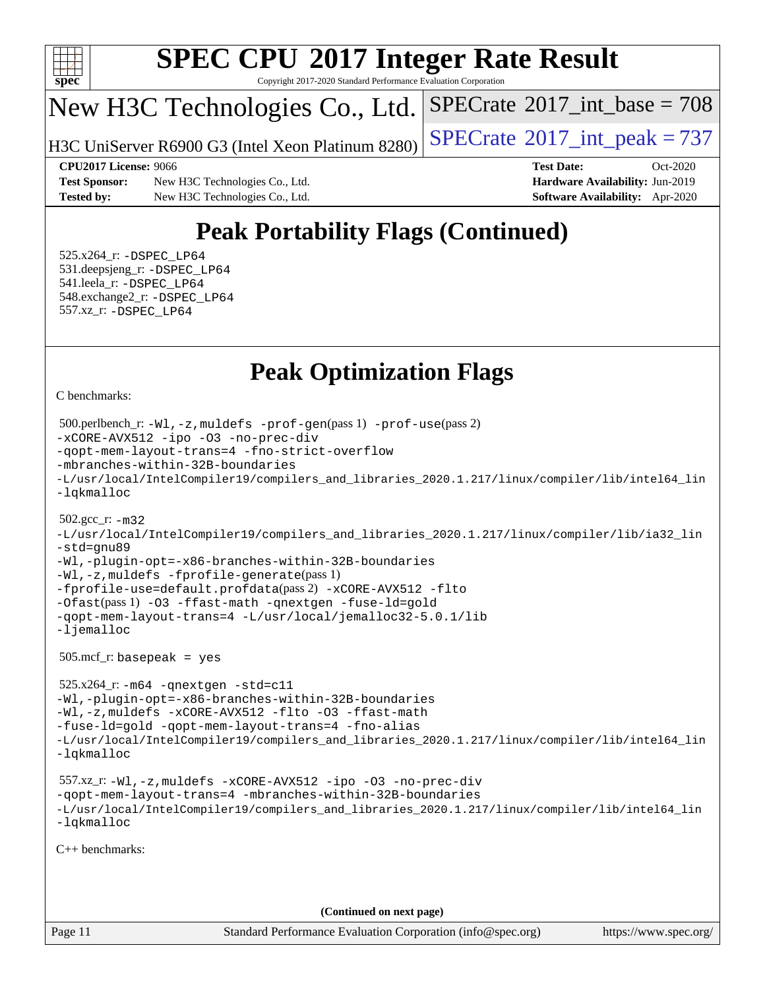

Copyright 2017-2020 Standard Performance Evaluation Corporation

# New H3C Technologies Co., Ltd.

H3C UniServer R6900 G3 (Intel Xeon Platinum  $8280$ ) [SPECrate](http://www.spec.org/auto/cpu2017/Docs/result-fields.html#SPECrate2017intpeak)<sup>®</sup>[2017\\_int\\_peak = 7](http://www.spec.org/auto/cpu2017/Docs/result-fields.html#SPECrate2017intpeak)37

 $SPECTate$ <sup>®[2017\\_int\\_base =](http://www.spec.org/auto/cpu2017/Docs/result-fields.html#SPECrate2017intbase) 708</sup>

**[Test Sponsor:](http://www.spec.org/auto/cpu2017/Docs/result-fields.html#TestSponsor)** New H3C Technologies Co., Ltd. **[Hardware Availability:](http://www.spec.org/auto/cpu2017/Docs/result-fields.html#HardwareAvailability)** Jun-2019 **[Tested by:](http://www.spec.org/auto/cpu2017/Docs/result-fields.html#Testedby)** New H3C Technologies Co., Ltd. **[Software Availability:](http://www.spec.org/auto/cpu2017/Docs/result-fields.html#SoftwareAvailability)** Apr-2020

**[CPU2017 License:](http://www.spec.org/auto/cpu2017/Docs/result-fields.html#CPU2017License)** 9066 **[Test Date:](http://www.spec.org/auto/cpu2017/Docs/result-fields.html#TestDate)** Oct-2020

# **[Peak Portability Flags \(Continued\)](http://www.spec.org/auto/cpu2017/Docs/result-fields.html#PeakPortabilityFlags)**

 525.x264\_r: [-DSPEC\\_LP64](http://www.spec.org/cpu2017/results/res2020q4/cpu2017-20201105-24339.flags.html#suite_peakPORTABILITY525_x264_r_DSPEC_LP64) 531.deepsjeng\_r: [-DSPEC\\_LP64](http://www.spec.org/cpu2017/results/res2020q4/cpu2017-20201105-24339.flags.html#suite_peakPORTABILITY531_deepsjeng_r_DSPEC_LP64) 541.leela\_r: [-DSPEC\\_LP64](http://www.spec.org/cpu2017/results/res2020q4/cpu2017-20201105-24339.flags.html#suite_peakPORTABILITY541_leela_r_DSPEC_LP64) 548.exchange2\_r: [-DSPEC\\_LP64](http://www.spec.org/cpu2017/results/res2020q4/cpu2017-20201105-24339.flags.html#suite_peakPORTABILITY548_exchange2_r_DSPEC_LP64) 557.xz\_r: [-DSPEC\\_LP64](http://www.spec.org/cpu2017/results/res2020q4/cpu2017-20201105-24339.flags.html#suite_peakPORTABILITY557_xz_r_DSPEC_LP64)

# **[Peak Optimization Flags](http://www.spec.org/auto/cpu2017/Docs/result-fields.html#PeakOptimizationFlags)**

[C benchmarks](http://www.spec.org/auto/cpu2017/Docs/result-fields.html#Cbenchmarks):

```
 500.perlbench_r: -Wl,-z,muldefs -prof-gen(pass 1) -prof-use(pass 2)
-xCORE-AVX512 -ipo -O3 -no-prec-div
-qopt-mem-layout-trans=4 -fno-strict-overflow
-mbranches-within-32B-boundaries
-L/usr/local/IntelCompiler19/compilers_and_libraries_2020.1.217/linux/compiler/lib/intel64_lin
-lqkmalloc
 502.gcc_r: -m32
-L/usr/local/IntelCompiler19/compilers_and_libraries_2020.1.217/linux/compiler/lib/ia32_lin
-std=gnu89
-Wl,-plugin-opt=-x86-branches-within-32B-boundaries
-Wl,-z,muldefs -fprofile-generate(pass 1)
-fprofile-use=default.profdata(pass 2) -xCORE-AVX512 -flto
-Ofast(pass 1) -O3 -ffast-math -qnextgen -fuse-ld=gold
-qopt-mem-layout-trans=4 -L/usr/local/jemalloc32-5.0.1/lib
-ljemalloc
 505.mcf_r: basepeak = yes
 525.x264_r: -m64 -qnextgen -std=c11
-Wl,-plugin-opt=-x86-branches-within-32B-boundaries
-Wl,-z,muldefs -xCORE-AVX512 -flto -O3 -ffast-math
-fuse-ld=gold -qopt-mem-layout-trans=4 -fno-alias
-L/usr/local/IntelCompiler19/compilers_and_libraries_2020.1.217/linux/compiler/lib/intel64_lin
-lqkmalloc
 557.xz_r: -Wl,-z,muldefs -xCORE-AVX512 -ipo -O3 -no-prec-div
-qopt-mem-layout-trans=4 -mbranches-within-32B-boundaries
-L/usr/local/IntelCompiler19/compilers_and_libraries_2020.1.217/linux/compiler/lib/intel64_lin
-lqkmalloc
C++ benchmarks: 
                                      (Continued on next page)
```